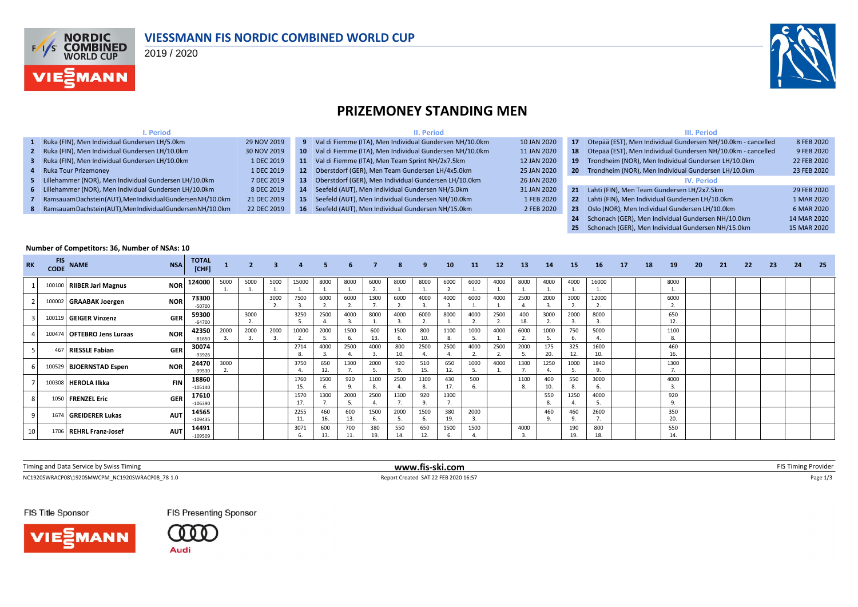

### **VIESSMANN FIS NORDIC COMBINED WORLD CUP**

2019 / 2020



**25** Schonach (GER), Men Individual Gundersen NH/15.0km 15 MAR 2020

### **PRIZEMONEY STANDING MEN**

| . Period                                                       |             |        | II. Period                                              |             |     | III. Period                                                  |             |
|----------------------------------------------------------------|-------------|--------|---------------------------------------------------------|-------------|-----|--------------------------------------------------------------|-------------|
| 1 Ruka (FIN), Men Individual Gundersen LH/5.0km                | 29 NOV 2019 |        | Val di Fiemme (ITA), Men Individual Gundersen NH/10.0km | 10 JAN 2020 |     | Otepää (EST), Men Individual Gundersen NH/10.0km - cancelled | 8 FEB 2020  |
| 2 Ruka (FIN), Men Individual Gundersen LH/10.0km               | 30 NOV 2019 | $10-1$ | Val di Fiemme (ITA), Men Individual Gundersen NH/10.0km | 11 JAN 2020 |     | Otepää (EST), Men Individual Gundersen NH/10.0km - cancelled | 9 FEB 2020  |
| 3 Ruka (FIN), Men Individual Gundersen LH/10.0km               | 1 DEC 2019  | 11     | Val di Fiemme (ITA), Men Team Sprint NH/2x7.5km         | 12 JAN 2020 |     | Trondheim (NOR), Men Individual Gundersen LH/10.0km          | 22 FEB 2020 |
| 4 Ruka Tour Prizemoney                                         | 1 DEC 2019  | 12.    | Oberstdorf (GER), Men Team Gundersen LH/4x5.0km         | 25 JAN 2020 | -20 | Trondheim (NOR), Men Individual Gundersen LH/10.0km          | 23 FEB 2020 |
| 5 Lillehammer (NOR), Men Individual Gundersen LH/10.0km        | 7 DEC 2019  | 13     | Oberstdorf (GER), Men Individual Gundersen LH/10.0km    | 26 JAN 2020 |     | <b>IV. Period</b>                                            |             |
| 6 Lillehammer (NOR), Men Individual Gundersen LH/10.0km        | 8 DEC 2019  | 14     | Seefeld (AUT), Men Individual Gundersen NH/5.0km        | 31 JAN 2020 | 21  | Lahti (FIN), Men Team Gundersen LH/2x7.5km                   | 29 FEB 2020 |
| 7 Ramsauam Dachstein (AUT), Men Individual Gundersen NH/10.0km | 21 DEC 2019 | $15-1$ | Seefeld (AUT), Men Individual Gundersen NH/10.0km       | 1 FEB 2020  |     | 22 Lahti (FIN), Men Individual Gundersen LH/10.0km           | 1 MAR 2020  |
| 8 Ramsauam Dachstein (AUT), Men Individual Gundersen NH/10.0km | 22 DEC 2019 | 16     | Seefeld (AUT), Men Individual Gundersen NH/15.0km       | 2 FEB 2020  | 23  | Oslo (NOR), Men Individual Gundersen LH/10.0km               | 6 MAR 2020  |
|                                                                |             |        |                                                         |             |     | Schonach (GER), Men Individual Gundersen NH/10.0km           | 14 MAR 2020 |

#### **Number of Competitors: 36, Number of NSAs: 10**

| <b>RK</b> | <b>FIS</b><br><b>CODE</b> | <b>NAME</b>                | <b>NSA</b> | <b>TOTAL</b><br>[CHF] |      |      | $\overline{\mathbf{3}}$ | $\overline{a}$        |            | 6          | $\overline{7}$       | 8          | 9          | 10         | 11         | 12   | 13         | 14         | 15         | 16          | 17 | 18 | 19             | 20 | 21 | 22 | 23 | 24 | - 25 |
|-----------|---------------------------|----------------------------|------------|-----------------------|------|------|-------------------------|-----------------------|------------|------------|----------------------|------------|------------|------------|------------|------|------------|------------|------------|-------------|----|----|----------------|----|----|----|----|----|------|
|           |                           | 100100 RIIBER Jarl Magnus  | <b>NOR</b> | 124000                | 5000 | 5000 | 5000                    | 15000                 | 8000       | 8000       | 6000                 | 8000       | 8000       | 6000       | 6000       | 4000 | 8000       | 4000       | 4000       | 16000       |    |    | 8000           |    |    |    |    |    |      |
|           | 100002                    | <b>GRAABAK Joergen</b>     | <b>NOR</b> | 73300<br>$-50700$     |      |      | 3000                    | 7500                  | 6000       | 6000       | 1300                 | 6000       | 4000       | 4000       | 6000       | 4000 | 2500       | 2000       | 3000       | 12000       |    |    | 6000           |    |    |    |    |    |      |
|           |                           | 100119 GEIGER Vinzenz      | <b>GER</b> | 59300<br>$-64700$     |      | 3000 |                         | 3250                  | 2500       | 4000       | 8000                 | 4000       | 6000       | 8000       | 4000       | 2500 | 400<br>18. | 3000       | 2000       | 8000        |    |    | 650<br>12.     |    |    |    |    |    |      |
|           | 100474                    | <b>OFTEBRO Jens Luraas</b> | <b>NOR</b> | 42350<br>$-81650$     | 2000 | 2000 | 2000                    | 10000<br>$\mathbf{r}$ | 2000       | 1500       | 600<br>13.           | 1500       | 800        | 1100       | 1000       | 4000 | 6000       | 1000       | 750        | 5000        |    |    | 1100<br>8.     |    |    |    |    |    |      |
|           | 467                       | <b>RIESSLE Fabian</b>      | <b>GER</b> | 30074<br>$-93926$     |      |      |                         | 2714<br>8.            | 4000       | 2500       | 4000<br>$\mathbf{3}$ | 800<br>10. | 2500       | 2500       | 4000       | 2500 | 2000       | 175<br>20. | 325<br>12. | 1600<br>10. |    |    | 460<br>16.     |    |    |    |    |    |      |
| -6        | 100529                    | <b>BJOERNSTAD Espen</b>    | <b>NOR</b> | 24470<br>$-99530$     | 3000 |      |                         | 3750                  | 650<br>12  | 1300       | 2000                 | 920        | 510<br>15. | 650<br>12. | 1000       | 4000 | 1300       | 1250       | 1000       | 1840        |    |    | 1300           |    |    |    |    |    |      |
|           | 100308                    | <b>HEROLA Ilkka</b>        | <b>FIN</b> | 18860<br>$-105140$    |      |      |                         | 1760<br>15.           | 1500       | 920        | 1100                 | 2500       | 1100       | 430<br>17. | 500<br>-6. |      | 1100       | 400<br>10. | 550        | 3000        |    |    | 4000           |    |    |    |    |    |      |
| 8         |                           | 1050 FRENZEL Eric          | <b>GER</b> | 17610<br>$-106390$    |      |      |                         | 1570<br>17.           | 1300       | 2000       | 2500                 | 1300       | 920        | 1300       |            |      |            | 550<br>8.  | 1250       | 4000        |    |    | 920<br>$\circ$ |    |    |    |    |    |      |
| q         |                           | 1674 GREIDERER Lukas       | <b>AUT</b> | 14565<br>$-109435$    |      |      |                         | 2255<br>11.           | 460<br>16. | 600<br>13. | 1500                 | 2000       | 1500       | 380<br>19. | 2000       |      |            | 460<br>9.  | 460        | 2600        |    |    | 350<br>20.     |    |    |    |    |    |      |
| 10        | 1706                      | REHRL Franz-Josef          | <b>AUT</b> | 14491<br>$-109509$    |      |      |                         | 3071                  | 600<br>13. | 700        | 380<br>19.           | 550<br>14. | 650        | 1500       | 1500       |      | 4000       |            | 190<br>19. | 800         |    |    | 550<br>14.     |    |    |    |    |    |      |

| Timing and Data Service by Swiss Timing         | www.fis-ski.com                      | Timing Provider |
|-------------------------------------------------|--------------------------------------|-----------------|
| NC1920SWRACP08\1920SMWCPM NC1920SWRACP08 78 1.0 | Report Created SAT 22 FEB 2020 16:57 | 0.000<br>rdge.  |

FIS Title Sponsor



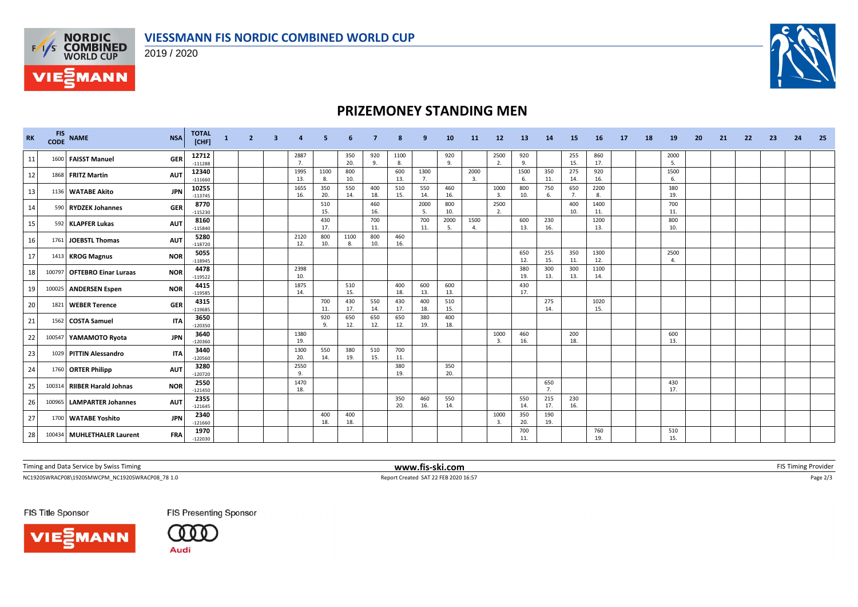



**VIE***MANN* 

# **PRIZEMONEY STANDING MEN**

| <b>RK</b> | <b>FIS</b><br><b>CODE</b> | <b>NAME</b>                 | <b>NSA</b> | <b>TOTAL</b><br>[CHF] | $\mathbf{1}$ | $\mathbf{2}$ | -3 |             |              |            |            | 8          | q          | 10         | <b>11</b>                | 12 <sup>2</sup>                 | 13         | 14         | 15         | 16          | 17 | 18 | 19               | 20 | 21 | 22 | 23 | 24 | 25 |
|-----------|---------------------------|-----------------------------|------------|-----------------------|--------------|--------------|----|-------------|--------------|------------|------------|------------|------------|------------|--------------------------|---------------------------------|------------|------------|------------|-------------|----|----|------------------|----|----|----|----|----|----|
| 11        | 1600                      | <b>FAISST Manuel</b>        | <b>GER</b> | 12712<br>$-111288$    |              |              |    | 2887<br>7.  |              | 350<br>20. | 920<br>9.  | 1100<br>8. |            | 920<br>9.  |                          | 2500<br>2.                      | 920<br>9.  |            | 255<br>15. | 860<br>17.  |    |    | 2000<br>- 5.     |    |    |    |    |    |    |
| 12        |                           | 1868 FRITZ Martin           | <b>AUT</b> | 12340<br>$-111660$    |              |              |    | 1995<br>13. | 1100<br>- 8. | 800<br>10. |            | 600<br>13. | 1300<br>7. |            | 2000<br>$\overline{3}$ . |                                 | 1500<br>6. | 350<br>11. | 275<br>14. | 920<br>16.  |    |    | 1500<br>- 6.     |    |    |    |    |    |    |
| 13        |                           | 1136 WATABE Akito           | <b>JPN</b> | 10255<br>$-113745$    |              |              |    | 1655<br>16. | 350<br>20.   | 550<br>14. | 400<br>18. | 510<br>15. | 550<br>14. | 460<br>16. |                          | 1000<br>3.                      | 800<br>10. | 750<br>6.  | 650<br>7.  | 2200<br>8.  |    |    | 380<br>19.       |    |    |    |    |    |    |
| 14        |                           | 590 RYDZEK Johannes         | <b>GER</b> | 8770<br>$-115230$     |              |              |    |             | 510<br>15.   |            | 460<br>16. |            | 2000<br>5. | 800<br>10. |                          | 2500<br>2.                      |            |            | 400<br>10. | 1400<br>11. |    |    | 700<br>11.       |    |    |    |    |    |    |
| 15        | 592                       | <b>KLAPFER Lukas</b>        | <b>AUT</b> | 8160<br>$-115840$     |              |              |    |             | 430<br>17.   |            | 700<br>11. |            | 700<br>11. | 2000<br>.5 | 1500<br>4                |                                 | 600<br>13. | 230<br>16. |            | 1200<br>13. |    |    | 800<br>10.       |    |    |    |    |    |    |
| 16        |                           | 1761 JOEBSTL Thomas         | <b>AUT</b> | 5280<br>$-118720$     |              |              |    | 2120<br>12. | 800<br>10.   | 1100<br>8. | 800<br>10. | 460<br>16. |            |            |                          |                                 |            |            |            |             |    |    |                  |    |    |    |    |    |    |
| 17        |                           | 1413 KROG Magnus            | <b>NOR</b> | 5055<br>$-118945$     |              |              |    |             |              |            |            |            |            |            |                          |                                 | 650<br>12. | 255<br>15. | 350<br>11. | 1300<br>12. |    |    | 2500<br>$\Delta$ |    |    |    |    |    |    |
| 18        | 100797                    | <b>OFTEBRO Einar Luraas</b> | <b>NOR</b> | 4478<br>$-119522$     |              |              |    | 2398<br>10. |              |            |            |            |            |            |                          |                                 | 380<br>19. | 300<br>13. | 300<br>13. | 1100<br>14. |    |    |                  |    |    |    |    |    |    |
| 19        |                           | 100025 ANDERSEN Espen       | <b>NOR</b> | 4415<br>$-119585$     |              |              |    | 1875<br>14. |              | 510<br>15. |            | 400<br>18. | 600<br>13. | 600<br>13. |                          |                                 | 430<br>17. |            |            |             |    |    |                  |    |    |    |    |    |    |
| 20        |                           | 1821 WEBER Terence          | <b>GER</b> | 4315<br>$-119685$     |              |              |    |             | 700<br>11.   | 430<br>17. | 550<br>14. | 430<br>17. | 400<br>18. | 510<br>15. |                          |                                 |            | 275<br>14. |            | 1020<br>15. |    |    |                  |    |    |    |    |    |    |
| 21        |                           | 1562 COSTA Samuel           | <b>ITA</b> | 3650<br>$-120350$     |              |              |    |             | 920<br>9     | 650<br>12. | 650<br>12. | 650<br>12. | 380<br>19. | 400<br>18. |                          |                                 |            |            |            |             |    |    |                  |    |    |    |    |    |    |
| 22        |                           | 100547 YAMAMOTO Ryota       | <b>JPN</b> | 3640<br>$-120360$     |              |              |    | 1380<br>19. |              |            |            |            |            |            |                          | 1000<br>$\overline{3}$          | 460<br>16. |            | 200<br>18. |             |    |    | 600<br>13.       |    |    |    |    |    |    |
| 23        | 1029                      | <b>PITTIN Alessandro</b>    | <b>ITA</b> | 3440<br>$-120560$     |              |              |    | 1300<br>20. | 550<br>14.   | 380<br>19. | 510<br>15. | 700<br>11. |            |            |                          |                                 |            |            |            |             |    |    |                  |    |    |    |    |    |    |
| 24        |                           | 1760 ORTER Philipp          | <b>AUT</b> | 3280<br>$-120720$     |              |              |    | 2550<br>9.  |              |            |            | 380<br>19. |            | 350<br>20. |                          |                                 |            |            |            |             |    |    |                  |    |    |    |    |    |    |
| 25        |                           | 100314 RIIBER Harald Johnas | <b>NOR</b> | 2550<br>$-121450$     |              |              |    | 1470<br>18. |              |            |            |            |            |            |                          |                                 |            | 650<br>7.  |            |             |    |    | 430<br>17.       |    |    |    |    |    |    |
| 26        | 100965                    | <b>LAMPARTER Johannes</b>   | <b>AUT</b> | 2355<br>$-121645$     |              |              |    |             |              |            |            | 350<br>20. | 460<br>16. | 550<br>14. |                          |                                 | 550<br>14. | 215<br>17. | 230<br>16. |             |    |    |                  |    |    |    |    |    |    |
| 27        |                           | 1700 WATABE Yoshito         | <b>JPN</b> | 2340<br>$-121660$     |              |              |    |             | 400<br>18.   | 400<br>18. |            |            |            |            |                          | 1000<br>$\overline{\mathbf{3}}$ | 350<br>20. | 190<br>19. |            |             |    |    |                  |    |    |    |    |    |    |
| 28 I      |                           | 100434 MUHLETHALER Laurent  | <b>FRA</b> | 1970<br>$-122030$     |              |              |    |             |              |            |            |            |            |            |                          |                                 | 700<br>11. |            |            | 760<br>19.  |    |    | 510<br>15.       |    |    |    |    |    |    |

Timing and Data Service by Swiss Timing **WWW.fis-ski.com WWW.fis-ski.com FIS** Timing Provider

NC1920SWRACP08\1920SMWCPM\_NC1920SWRACP08\_78 1.0 Report Created SAT 22 FEB 2020 16:57 Page 2/3

FIS Title Sponsor